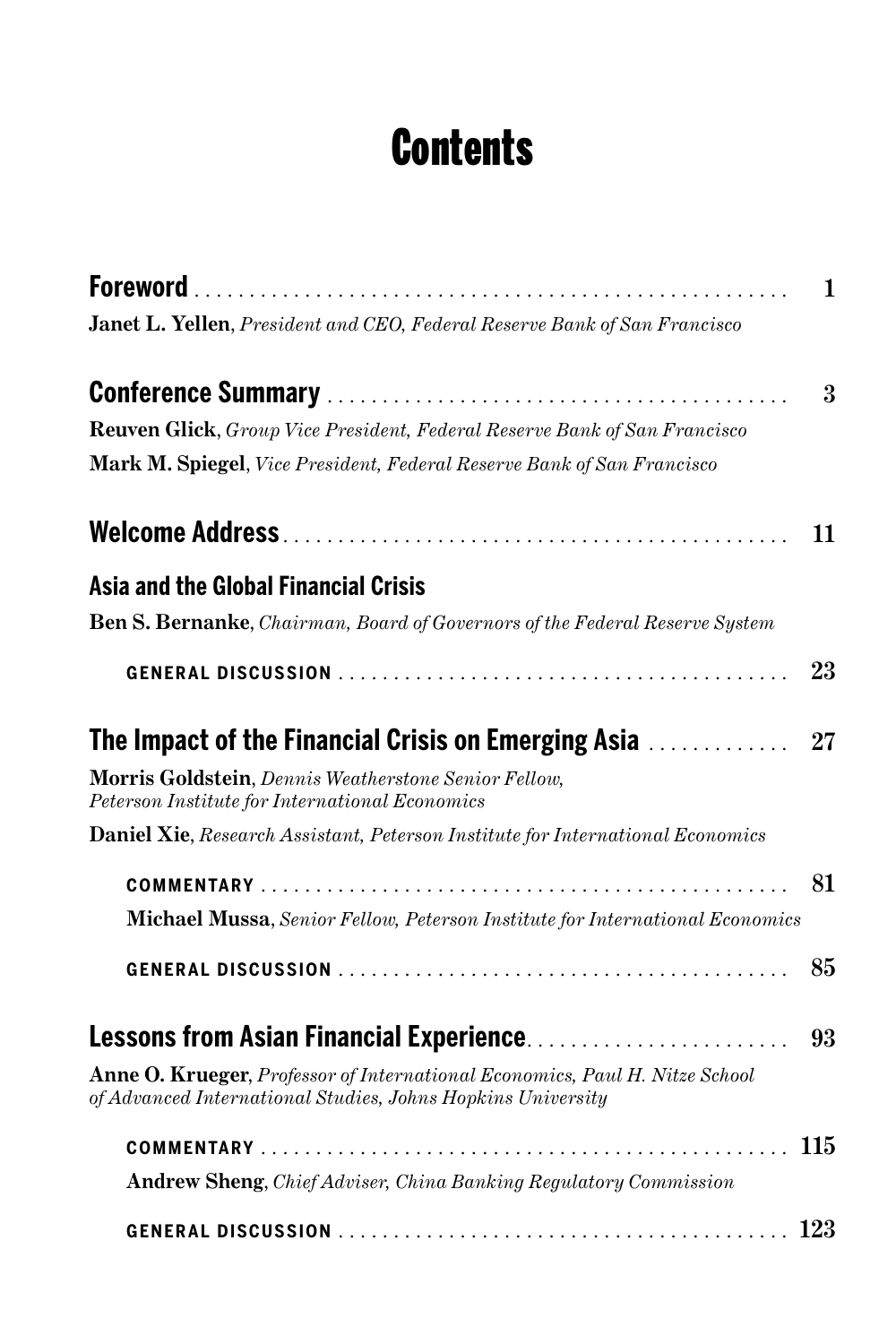## **Contents**

|                                                                                                                                            | 1              |
|--------------------------------------------------------------------------------------------------------------------------------------------|----------------|
| Janet L. Yellen, President and CEO, Federal Reserve Bank of San Francisco                                                                  |                |
|                                                                                                                                            | $\overline{3}$ |
| Reuven Glick, Group Vice President, Federal Reserve Bank of San Francisco                                                                  |                |
| Mark M. Spiegel, Vice President, Federal Reserve Bank of San Francisco                                                                     |                |
|                                                                                                                                            | 11             |
| <b>Asia and the Global Financial Crisis</b>                                                                                                |                |
| <b>Ben S. Bernanke</b> , <i>Chairman</i> , <i>Board of Governors of the Federal Reserve System</i>                                         |                |
|                                                                                                                                            | 23             |
| <b>The Impact of the Financial Crisis on Emerging Asia </b>                                                                                | 27             |
| <b>Morris Goldstein</b> , <i>Dennis Weatherstone Senior Fellow</i> ,<br>Peterson Institute for International Economics                     |                |
| <b>Daniel Xie, Research Assistant, Peterson Institute for International Economics</b>                                                      |                |
|                                                                                                                                            | 81             |
| Michael Mussa, Senior Fellow, Peterson Institute for International Economics                                                               |                |
|                                                                                                                                            | 85             |
| <b>Lessons from Asian Financial Experience</b>                                                                                             | 93             |
| Anne O. Krueger, Professor of International Economics, Paul H. Nitze School<br>of Advanced International Studies, Johns Hopkins University |                |
|                                                                                                                                            | 115            |
| <b>Andrew Sheng, Chief Adviser, China Banking Regulatory Commission</b>                                                                    |                |
|                                                                                                                                            |                |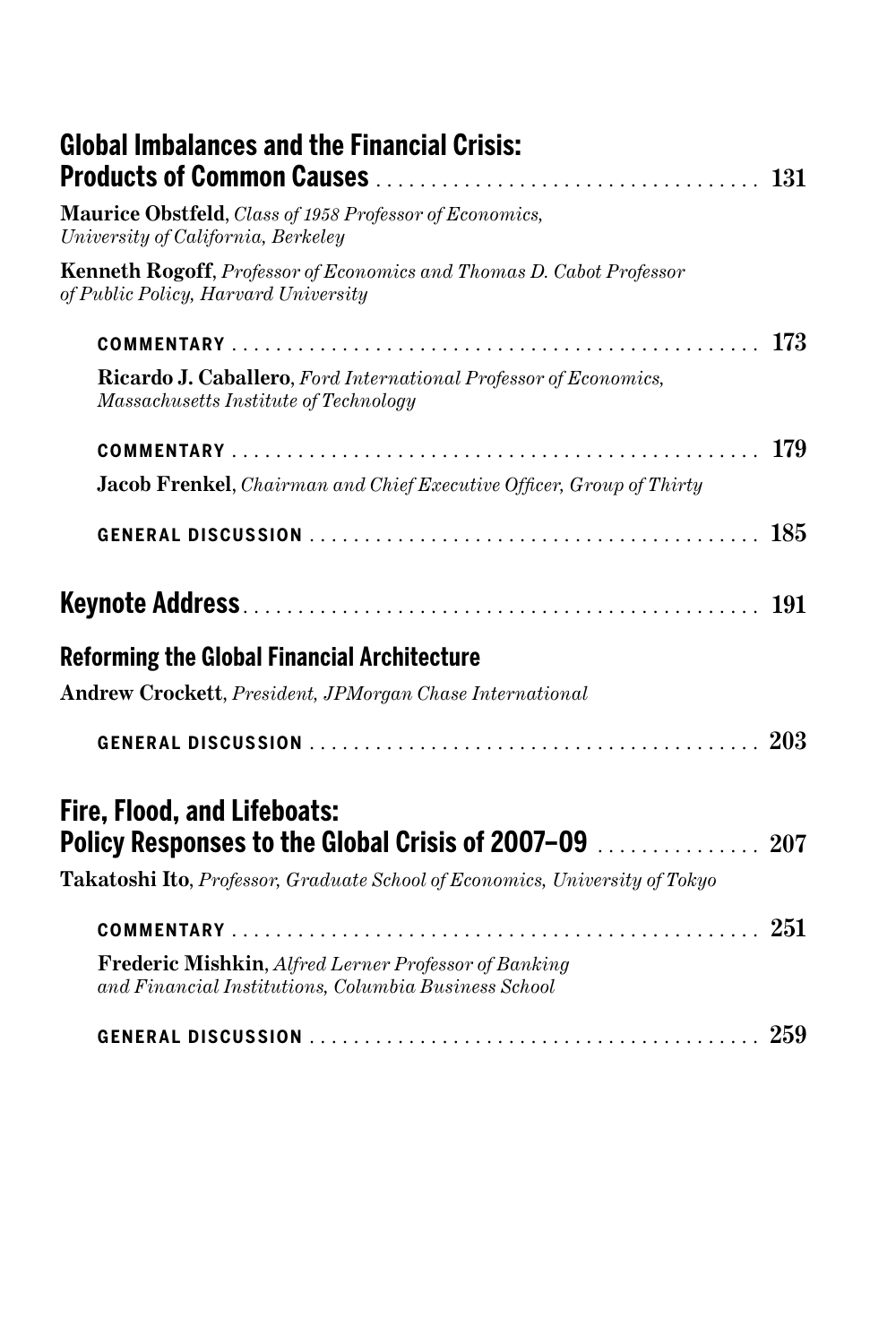| <b>Global Imbalances and the Financial Crisis:</b>                                                                  |  |
|---------------------------------------------------------------------------------------------------------------------|--|
| Maurice Obstfeld, Class of 1958 Professor of Economics,<br>University of California, Berkeley                       |  |
| <b>Kenneth Rogoff, Professor of Economics and Thomas D. Cabot Professor</b><br>of Public Policy, Harvard University |  |
|                                                                                                                     |  |
| Ricardo J. Caballero, Ford International Professor of Economics,<br>Massachusetts Institute of Technology           |  |
|                                                                                                                     |  |
| <b>Jacob Frenkel</b> , <i>Chairman and Chief Executive Officer</i> , <i>Group of Thirty</i>                         |  |
|                                                                                                                     |  |
| <b>191</b>                                                                                                          |  |
| <b>Reforming the Global Financial Architecture</b>                                                                  |  |
| <b>Andrew Crockett</b> , <i>President</i> , <i>JPMorgan Chase International</i>                                     |  |
|                                                                                                                     |  |
| <b>Fire, Flood, and Lifeboats:</b><br>Policy Responses to the Global Crisis of 2007-09  207                         |  |
| Takatoshi Ito, Professor, Graduate School of Economics, University of Tokyo                                         |  |
|                                                                                                                     |  |
| <b>Frederic Mishkin, Alfred Lerner Professor of Banking</b><br>and Financial Institutions, Columbia Business School |  |
|                                                                                                                     |  |